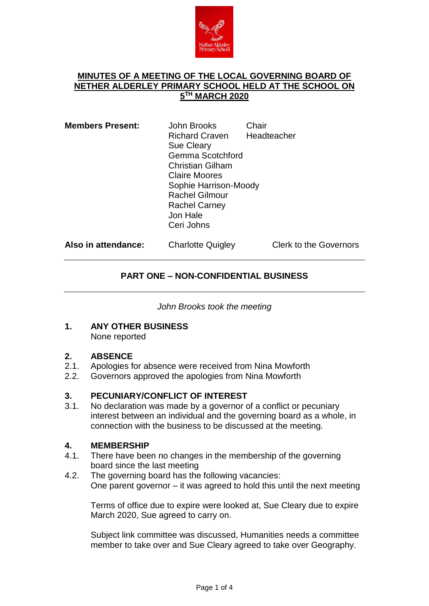

#### **MINUTES OF A MEETING OF THE LOCAL GOVERNING BOARD OF NETHER ALDERLEY PRIMARY SCHOOL HELD AT THE SCHOOL ON 5 TH MARCH 2020**

| <b>Members Present:</b> | John Brooks<br><b>Richard Craven</b><br><b>Sue Cleary</b><br>Gemma Scotchford<br><b>Christian Gilham</b><br><b>Claire Moores</b><br>Sophie Harrison-Moody<br><b>Rachel Gilmour</b><br><b>Rachel Carney</b><br>Jon Hale<br>Ceri Johns | Chair<br>Headteacher |
|-------------------------|--------------------------------------------------------------------------------------------------------------------------------------------------------------------------------------------------------------------------------------|----------------------|
|                         |                                                                                                                                                                                                                                      |                      |

Also in attendance: Charlotte Quigley Clerk to the Governors

### **PART ONE – NON-CONFIDENTIAL BUSINESS**

*John Brooks took the meeting*

**1. ANY OTHER BUSINESS** None reported

### **2. ABSENCE**

- Apologies for absence were received from Nina Mowforth
- 2.2. Governors approved the apologies from Nina Mowforth

#### **3. PECUNIARY/CONFLICT OF INTEREST**

3.1. No declaration was made by a governor of a conflict or pecuniary interest between an individual and the governing board as a whole, in connection with the business to be discussed at the meeting.

#### **4. MEMBERSHIP**

- 4.1. There have been no changes in the membership of the governing board since the last meeting
- 4.2. The governing board has the following vacancies: One parent governor – it was agreed to hold this until the next meeting

Terms of office due to expire were looked at, Sue Cleary due to expire March 2020, Sue agreed to carry on.

Subject link committee was discussed, Humanities needs a committee member to take over and Sue Cleary agreed to take over Geography.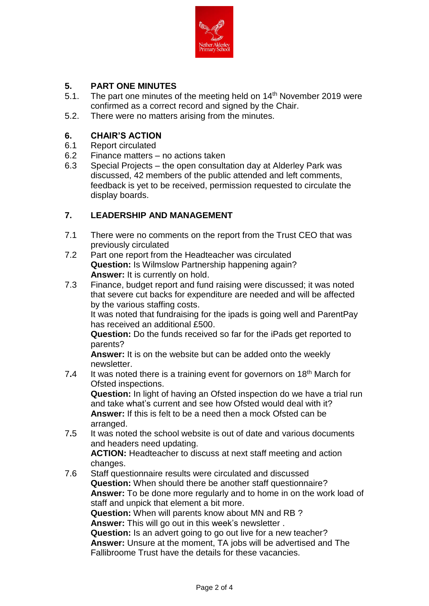

# **5. PART ONE MINUTES**

- The part one minutes of the meeting held on  $14<sup>th</sup>$  November 2019 were confirmed as a correct record and signed by the Chair.
- 5.2. There were no matters arising from the minutes.

### **6. CHAIR'S ACTION**

- Report circulated
- 6.2 Finance matters no actions taken
- 6.3 Special Projects the open consultation day at Alderley Park was discussed, 42 members of the public attended and left comments, feedback is yet to be received, permission requested to circulate the display boards.

#### **7. LEADERSHIP AND MANAGEMENT**

- 7.1 There were no comments on the report from the Trust CEO that was previously circulated
- 7.2 Part one report from the Headteacher was circulated **Question:** Is Wilmslow Partnership happening again? **Answer:** It is currently on hold.
- 7.3 Finance, budget report and fund raising were discussed; it was noted that severe cut backs for expenditure are needed and will be affected by the various staffing costs.

It was noted that fundraising for the ipads is going well and ParentPay has received an additional £500.

**Question:** Do the funds received so far for the iPads get reported to parents?

**Answer:** It is on the website but can be added onto the weekly newsletter.

7**.**4 It was noted there is a training event for governors on 18th March for Ofsted inspections. **Question:** In light of having an Ofsted inspection do we have a trial run and take what's current and see how Ofsted would deal with it?

**Answer:** If this is felt to be a need then a mock Ofsted can be arranged.

7**.**5 It was noted the school website is out of date and various documents and headers need updating.

**ACTION:** Headteacher to discuss at next staff meeting and action changes.

7.6 Staff questionnaire results were circulated and discussed **Question:** When should there be another staff questionnaire? **Answer:** To be done more regularly and to home in on the work load of staff and unpick that element a bit more. **Question:** When will parents know about MN and RB ? **Answer:** This will go out in this week's newsletter . **Question:** Is an advert going to go out live for a new teacher? **Answer:** Unsure at the moment, TA jobs will be advertised and The Fallibroome Trust have the details for these vacancies.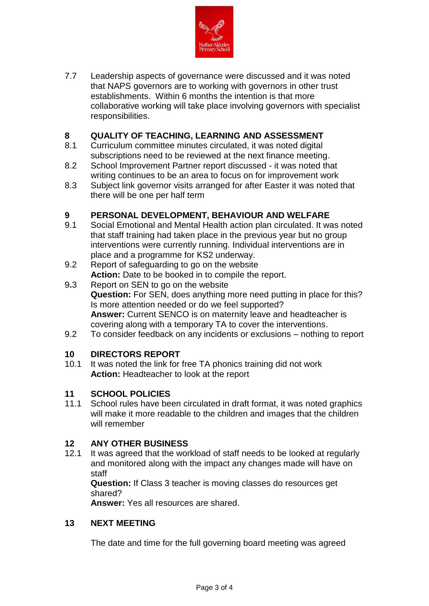

7.7 Leadership aspects of governance were discussed and it was noted that NAPS governors are to working with governors in other trust establishments. Within 6 months the intention is that more collaborative working will take place involving governors with specialist responsibilities.

## **8 QUALITY OF TEACHING, LEARNING AND ASSESSMENT**

- Curriculum committee minutes circulated, it was noted digital subscriptions need to be reviewed at the next finance meeting.
- 8.2 School Improvement Partner report discussed it was noted that writing continues to be an area to focus on for improvement work
- 8.3 Subject link governor visits arranged for after Easter it was noted that there will be one per half term

## **9 PERSONAL DEVELOPMENT, BEHAVIOUR AND WELFARE**<br>9.1 Social Emotional and Mental Health action plan circulated. It wa

- Social Emotional and Mental Health action plan circulated. It was noted that staff training had taken place in the previous year but no group interventions were currently running. Individual interventions are in place and a programme for KS2 underway.
- 9.2 Report of safeguarding to go on the website Action: Date to be booked in to compile the report.
- 9**.**3 Report on SEN to go on the website **Question:** For SEN, does anything more need putting in place for this? Is more attention needed or do we feel supported? **Answer:** Current SENCO is on maternity leave and headteacher is covering along with a temporary TA to cover the interventions.
- 9.2 To consider feedback on any incidents or exclusions nothing to report

#### **10 DIRECTORS REPORT**

10.1 It was noted the link for free TA phonics training did not work **Action:** Headteacher to look at the report

#### **11 SCHOOL POLICIES**

11.1 School rules have been circulated in draft format, it was noted graphics will make it more readable to the children and images that the children will remember

#### **12 ANY OTHER BUSINESS**

12.1 It was agreed that the workload of staff needs to be looked at regularly and monitored along with the impact any changes made will have on staff

**Question:** If Class 3 teacher is moving classes do resources get shared?

**Answer:** Yes all resources are shared.

#### **13 NEXT MEETING**

The date and time for the full governing board meeting was agreed